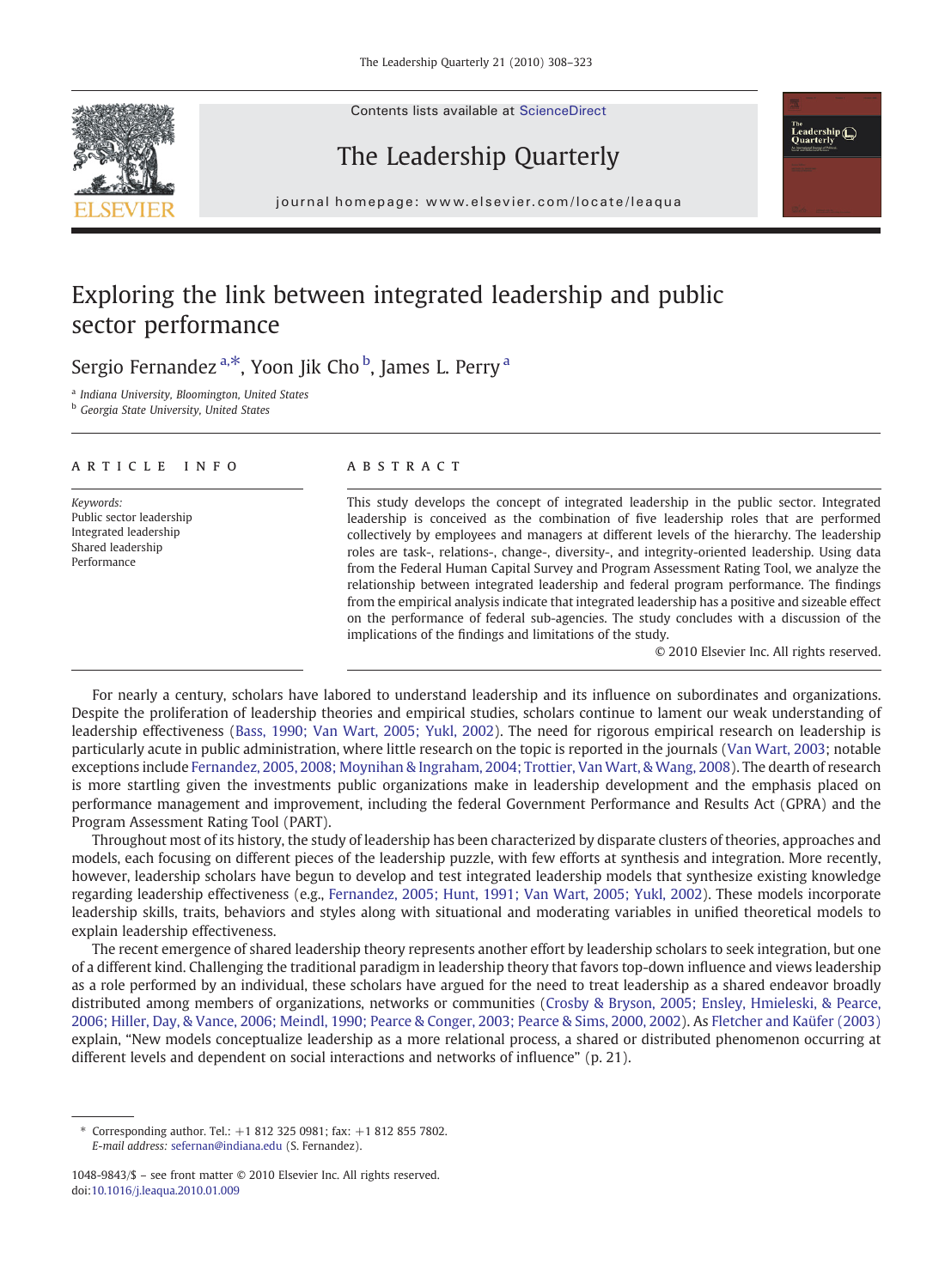Contents lists available at ScienceDirect





## The Leadership Quarterly

j o u r n a l h om e p a g e r. c om e p a g e r. c om / l o c a t e a t e a t e l o c a t e l o c a t e l e a<br>L

# Exploring the link between integrated leadership and public sector performance

Sergio Fernandez <sup>a,\*</sup>, Yoon Jik Cho <sup>b</sup>, James L. Perry <sup>a</sup>

<sup>a</sup> Indiana University, Bloomington, United States

**b** Georgia State University, United States

### article info abstract

Keywords: Public sector leadership Integrated leadership Shared leadership Performance

This study develops the concept of integrated leadership in the public sector. Integrated leadership is conceived as the combination of five leadership roles that are performed collectively by employees and managers at different levels of the hierarchy. The leadership roles are task-, relations-, change-, diversity-, and integrity-oriented leadership. Using data from the Federal Human Capital Survey and Program Assessment Rating Tool, we analyze the relationship between integrated leadership and federal program performance. The findings from the empirical analysis indicate that integrated leadership has a positive and sizeable effect on the performance of federal sub-agencies. The study concludes with a discussion of the implications of the findings and limitations of the study.

© 2010 Elsevier Inc. All rights reserved.

For nearly a century, scholars have labored to understand leadership and its influence on subordinates and organizations. Despite the proliferation of leadership theories and empirical studies, scholars continue to lament our weak understanding of leadership effectiveness ([Bass, 1990; Van Wart, 2005; Yukl, 2002\)](#page--1-0). The need for rigorous empirical research on leadership is particularly acute in public administration, where little research on the topic is reported in the journals ([Van Wart, 2003](#page--1-0); notable exceptions include [Fernandez, 2005, 2008; Moynihan & Ingraham, 2004; Trottier, Van Wart, & Wang, 2008\)](#page--1-0). The dearth of research is more startling given the investments public organizations make in leadership development and the emphasis placed on performance management and improvement, including the federal Government Performance and Results Act (GPRA) and the Program Assessment Rating Tool (PART).

Throughout most of its history, the study of leadership has been characterized by disparate clusters of theories, approaches and models, each focusing on different pieces of the leadership puzzle, with few efforts at synthesis and integration. More recently, however, leadership scholars have begun to develop and test integrated leadership models that synthesize existing knowledge regarding leadership effectiveness (e.g., [Fernandez, 2005; Hunt, 1991; Van Wart, 2005; Yukl, 2002\)](#page--1-0). These models incorporate leadership skills, traits, behaviors and styles along with situational and moderating variables in unified theoretical models to explain leadership effectiveness.

The recent emergence of shared leadership theory represents another effort by leadership scholars to seek integration, but one of a different kind. Challenging the traditional paradigm in leadership theory that favors top-down influence and views leadership as a role performed by an individual, these scholars have argued for the need to treat leadership as a shared endeavor broadly distributed among members of organizations, networks or communities ([Crosby & Bryson, 2005; Ensley, Hmieleski, & Pearce,](#page--1-0) [2006; Hiller, Day, & Vance, 2006; Meindl, 1990; Pearce & Conger, 2003; Pearce & Sims, 2000, 2002](#page--1-0)). As [Fletcher and Kaüfer \(2003\)](#page--1-0) explain, "New models conceptualize leadership as a more relational process, a shared or distributed phenomenon occurring at different levels and dependent on social interactions and networks of influence" (p. 21).

<sup>⁎</sup> Corresponding author. Tel.: +1 812 325 0981; fax: +1 812 855 7802. E-mail address: [sefernan@indiana.edu](mailto:sefernan@indiana.edu) (S. Fernandez).

<sup>1048-9843/\$</sup> – see front matter © 2010 Elsevier Inc. All rights reserved. doi:[10.1016/j.leaqua.2010.01.009](http://dx.doi.org/10.1016/j.leaqua.2010.01.009)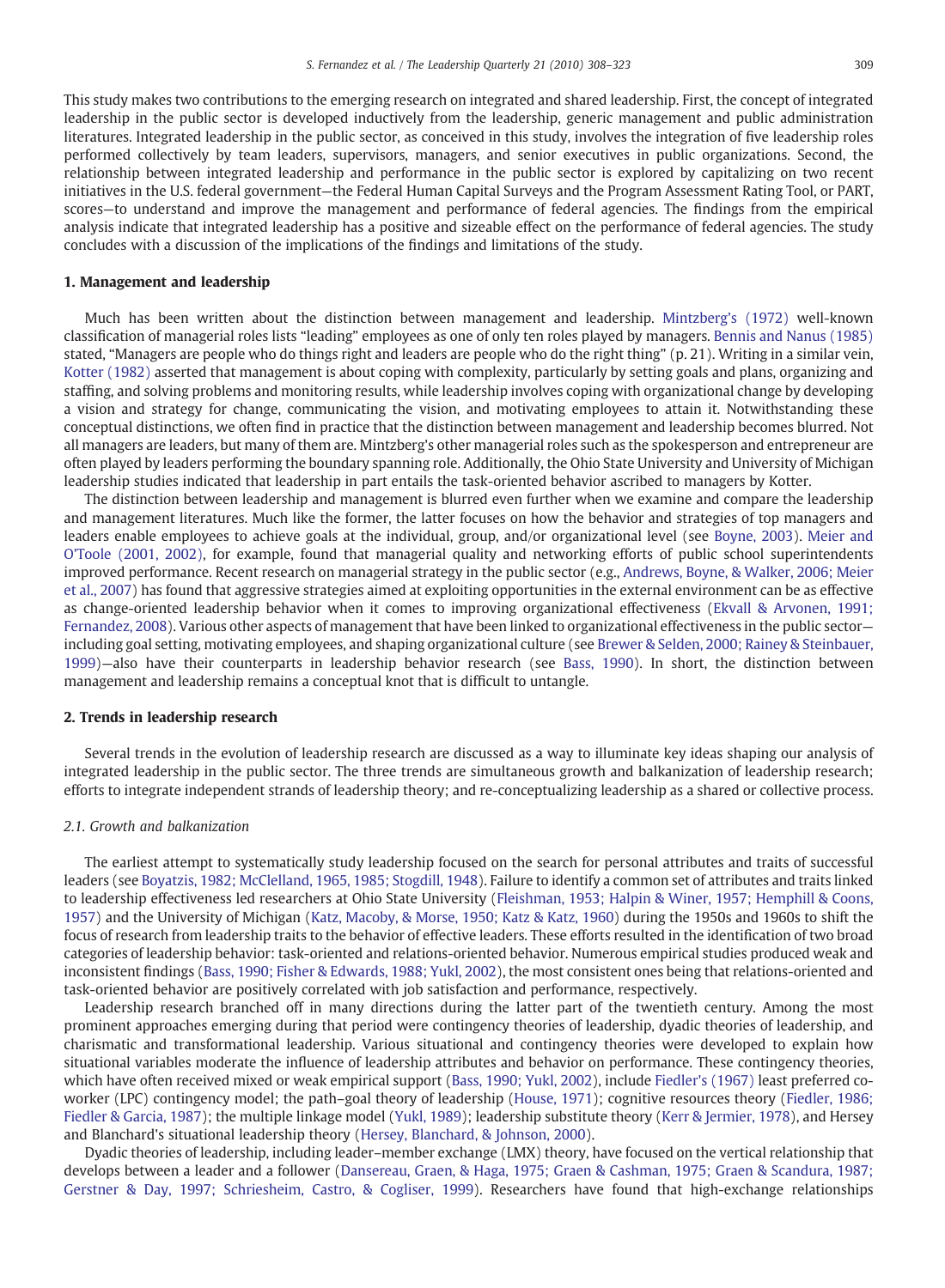This study makes two contributions to the emerging research on integrated and shared leadership. First, the concept of integrated leadership in the public sector is developed inductively from the leadership, generic management and public administration literatures. Integrated leadership in the public sector, as conceived in this study, involves the integration of five leadership roles performed collectively by team leaders, supervisors, managers, and senior executives in public organizations. Second, the relationship between integrated leadership and performance in the public sector is explored by capitalizing on two recent initiatives in the U.S. federal government—the Federal Human Capital Surveys and the Program Assessment Rating Tool, or PART, scores—to understand and improve the management and performance of federal agencies. The findings from the empirical analysis indicate that integrated leadership has a positive and sizeable effect on the performance of federal agencies. The study concludes with a discussion of the implications of the findings and limitations of the study.

#### 1. Management and leadership

Much has been written about the distinction between management and leadership. [Mintzberg's \(1972\)](#page--1-0) well-known classification of managerial roles lists "leading" employees as one of only ten roles played by managers. [Bennis and Nanus \(1985\)](#page--1-0) stated, "Managers are people who do things right and leaders are people who do the right thing" (p. 21). Writing in a similar vein, [Kotter \(1982\)](#page--1-0) asserted that management is about coping with complexity, particularly by setting goals and plans, organizing and staffing, and solving problems and monitoring results, while leadership involves coping with organizational change by developing a vision and strategy for change, communicating the vision, and motivating employees to attain it. Notwithstanding these conceptual distinctions, we often find in practice that the distinction between management and leadership becomes blurred. Not all managers are leaders, but many of them are. Mintzberg's other managerial roles such as the spokesperson and entrepreneur are often played by leaders performing the boundary spanning role. Additionally, the Ohio State University and University of Michigan leadership studies indicated that leadership in part entails the task-oriented behavior ascribed to managers by Kotter.

The distinction between leadership and management is blurred even further when we examine and compare the leadership and management literatures. Much like the former, the latter focuses on how the behavior and strategies of top managers and leaders enable employees to achieve goals at the individual, group, and/or organizational level (see [Boyne, 2003\)](#page--1-0). [Meier and](#page--1-0) [O'Toole \(2001, 2002\),](#page--1-0) for example, found that managerial quality and networking efforts of public school superintendents improved performance. Recent research on managerial strategy in the public sector (e.g., [Andrews, Boyne, & Walker, 2006; Meier](#page--1-0) [et al., 2007\)](#page--1-0) has found that aggressive strategies aimed at exploiting opportunities in the external environment can be as effective as change-oriented leadership behavior when it comes to improving organizational effectiveness ([Ekvall & Arvonen, 1991;](#page--1-0) [Fernandez, 2008](#page--1-0)). Various other aspects of management that have been linked to organizational effectiveness in the public sector including goal setting, motivating employees, and shaping organizational culture (see [Brewer & Selden, 2000; Rainey & Steinbauer,](#page--1-0) [1999](#page--1-0))—also have their counterparts in leadership behavior research (see [Bass, 1990\)](#page--1-0). In short, the distinction between management and leadership remains a conceptual knot that is difficult to untangle.

#### 2. Trends in leadership research

Several trends in the evolution of leadership research are discussed as a way to illuminate key ideas shaping our analysis of integrated leadership in the public sector. The three trends are simultaneous growth and balkanization of leadership research; efforts to integrate independent strands of leadership theory; and re-conceptualizing leadership as a shared or collective process.

#### 2.1. Growth and balkanization

The earliest attempt to systematically study leadership focused on the search for personal attributes and traits of successful leaders (see [Boyatzis, 1982; McClelland, 1965, 1985; Stogdill, 1948](#page--1-0)). Failure to identify a common set of attributes and traits linked to leadership effectiveness led researchers at Ohio State University [\(Fleishman, 1953; Halpin & Winer, 1957; Hemphill & Coons,](#page--1-0) [1957](#page--1-0)) and the University of Michigan [\(Katz, Macoby, & Morse, 1950; Katz & Katz, 1960\)](#page--1-0) during the 1950s and 1960s to shift the focus of research from leadership traits to the behavior of effective leaders. These efforts resulted in the identification of two broad categories of leadership behavior: task-oriented and relations-oriented behavior. Numerous empirical studies produced weak and inconsistent findings [\(Bass, 1990; Fisher & Edwards, 1988; Yukl, 2002](#page--1-0)), the most consistent ones being that relations-oriented and task-oriented behavior are positively correlated with job satisfaction and performance, respectively.

Leadership research branched off in many directions during the latter part of the twentieth century. Among the most prominent approaches emerging during that period were contingency theories of leadership, dyadic theories of leadership, and charismatic and transformational leadership. Various situational and contingency theories were developed to explain how situational variables moderate the influence of leadership attributes and behavior on performance. These contingency theories, which have often received mixed or weak empirical support [\(Bass, 1990; Yukl, 2002](#page--1-0)), include [Fiedler's \(1967\)](#page--1-0) least preferred coworker (LPC) contingency model; the path–goal theory of leadership [\(House, 1971](#page--1-0)); cognitive resources theory ([Fiedler, 1986;](#page--1-0) [Fiedler & Garcia, 1987](#page--1-0)); the multiple linkage model [\(Yukl, 1989\)](#page--1-0); leadership substitute theory [\(Kerr & Jermier, 1978](#page--1-0)), and Hersey and Blanchard's situational leadership theory ([Hersey, Blanchard, & Johnson, 2000](#page--1-0)).

Dyadic theories of leadership, including leader–member exchange (LMX) theory, have focused on the vertical relationship that develops between a leader and a follower [\(Dansereau, Graen, & Haga, 1975; Graen & Cashman, 1975; Graen & Scandura, 1987;](#page--1-0) [Gerstner & Day, 1997; Schriesheim, Castro, & Cogliser, 1999\)](#page--1-0). Researchers have found that high-exchange relationships